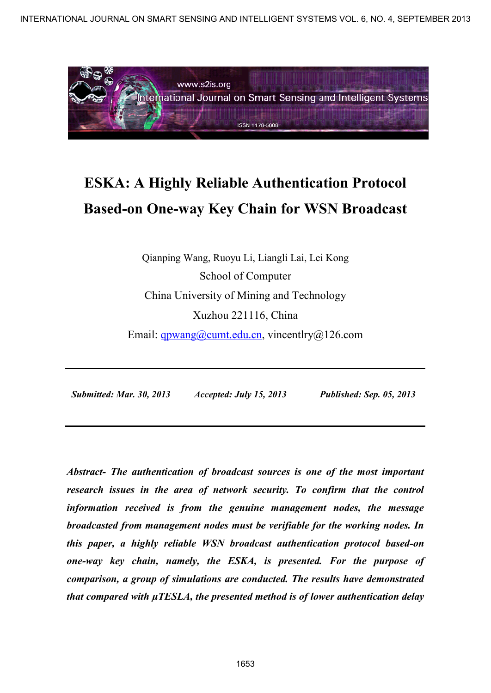

# **ESKA: A Highly Reliable Authentication Protocol Based-on One-way Key Chain for WSN Broadcast**

Qianping Wang, Ruoyu Li, Liangli Lai, Lei Kong School of Computer China University of Mining and Technology Xuzhou 221116, China

Email: qpwang@cumt.edu.cn, vincentlry@126.com

 *Submitted: Mar. 30, 2013 Accepted: July 15, 2013 Published: Sep. 05, 2013* 

*Abstract- The authentication of broadcast sources is one of the most important research issues in the area of network security. To confirm that the control information received is from the genuine management nodes, the message broadcasted from management nodes must be verifiable for the working nodes. In this paper, a highly reliable WSN broadcast authentication protocol based-on one-way key chain, namely, the ESKA, is presented. For the purpose of comparison, a group of simulations are conducted. The results have demonstrated that compared with µTESLA, the presented method is of lower authentication delay*  INTERNATIONAL JOURNAL ON SIGNATION FOR THE SENSING AND NUTLIGENT SYSTEMS VOL. 6, NO. 4, SEPTEMBER 2013<br>
INTELLIGENT MANUSCRIPT SYSTEMS VOL. 1, NOTE AND TRANSPORT SYSTEMS VOL. AND CONDITIONAL CONDITIONAL CONDITION CONTINUE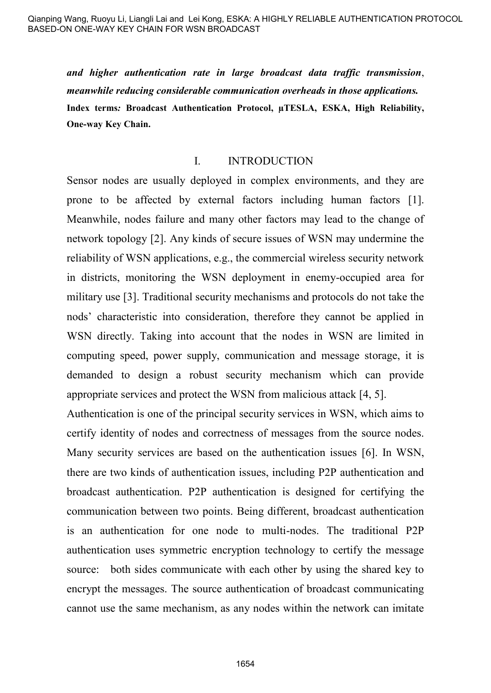*and higher authentication rate in large broadcast data traffic transmission*, *meanwhile reducing considerable communication overheads in those applications.*  **Index terms***:* **Broadcast Authentication Protocol, µTESLA, ESKA, High Reliability, One-way Key Chain.** 

#### I. INTRODUCTION

Sensor nodes are usually deployed in complex environments, and they are prone to be affected by external factors including human factors [1]. Meanwhile, nodes failure and many other factors may lead to the change of network topology [2]. Any kinds of secure issues of WSN may undermine the reliability of WSN applications, e.g., the commercial wireless security network in districts, monitoring the WSN deployment in enemy-occupied area for military use [3]. Traditional security mechanisms and protocols do not take the nods' characteristic into consideration, therefore they cannot be applied in WSN directly. Taking into account that the nodes in WSN are limited in computing speed, power supply, communication and message storage, it is demanded to design a robust security mechanism which can provide appropriate services and protect the WSN from malicious attack [4, 5].

Authentication is one of the principal security services in WSN, which aims to certify identity of nodes and correctness of messages from the source nodes. Many security services are based on the authentication issues [6]. In WSN, there are two kinds of authentication issues, including P2P authentication and broadcast authentication. P2P authentication is designed for certifying the communication between two points. Being different, broadcast authentication is an authentication for one node to multi-nodes. The traditional P2P authentication uses symmetric encryption technology to certify the message source: both sides communicate with each other by using the shared key to encrypt the messages. The source authentication of broadcast communicating cannot use the same mechanism, as any nodes within the network can imitate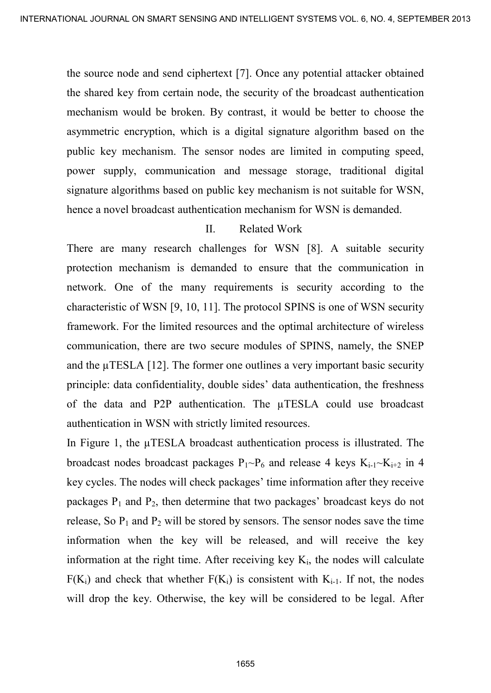the source node and send ciphertext [7]. Once any potential attacker obtained the shared key from certain node, the security of the broadcast authentication mechanism would be broken. By contrast, it would be better to choose the asymmetric encryption, which is a digital signature algorithm based on the public key mechanism. The sensor nodes are limited in computing speed, power supply, communication and message storage, traditional digital signature algorithms based on public key mechanism is not suitable for WSN, hence a novel broadcast authentication mechanism for WSN is demanded.

## II. Related Work

There are many research challenges for WSN [8]. A suitable security protection mechanism is demanded to ensure that the communication in network. One of the many requirements is security according to the characteristic of WSN [9, 10, 11]. The protocol SPINS is one of WSN security framework. For the limited resources and the optimal architecture of wireless communication, there are two secure modules of SPINS, namely, the SNEP and the µTESLA [12]. The former one outlines a very important basic security principle: data confidentiality, double sides' data authentication, the freshness of the data and P2P authentication. The µTESLA could use broadcast authentication in WSN with strictly limited resources. INTERNATIONAL JOURNAL ORIGINAL DESIGNATION CHECK (12) THE SMART SYSTEMS VOL. 6, NO. 4, SEPTEMBER 2013<br>
The source node and send eitherein. It contains that there to choose the<br>
mechanism would be briefen. By contrast, it

In Figure 1, the  $\mu$ TESLA broadcast authentication process is illustrated. The broadcast nodes broadcast packages  $P_1~P_6$  and release 4 keys  $K_{i-1}~K_{i+2}$  in 4 key cycles. The nodes will check packages' time information after they receive packages  $P_1$  and  $P_2$ , then determine that two packages' broadcast keys do not release, So  $P_1$  and  $P_2$  will be stored by sensors. The sensor nodes save the time information when the key will be released, and will receive the key information at the right time. After receiving key  $K_i$ , the nodes will calculate  $F(K_i)$  and check that whether  $F(K_i)$  is consistent with  $K_{i-1}$ . If not, the nodes will drop the key. Otherwise, the key will be considered to be legal. After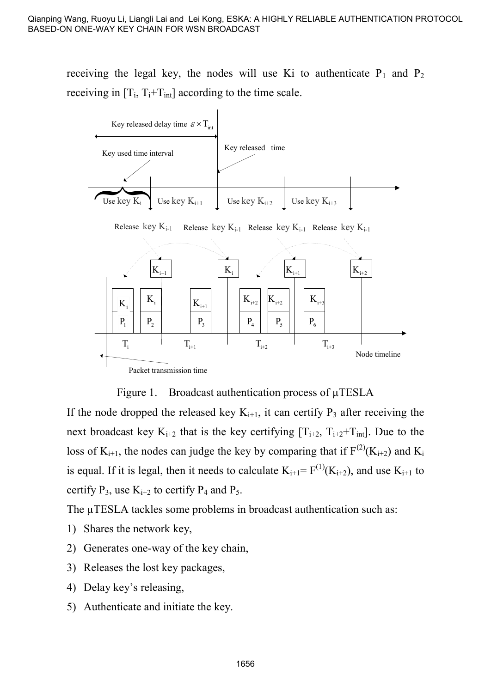receiving the legal key, the nodes will use Ki to authenticate  $P_1$  and  $P_2$ receiving in  $[T_i, T_i + T_{int}]$  according to the time scale.



Figure 1. Broadcast authentication process of  $\mu$ TESLA

If the node dropped the released key  $K_{i+1}$ , it can certify  $P_3$  after receiving the next broadcast key  $K_{i+2}$  that is the key certifying  $[T_{i+2}, T_{i+2}+T_{int}]$ . Due to the loss of  $K_{i+1}$ , the nodes can judge the key by comparing that if  $F^{(2)}(K_{i+2})$  and  $K_i$ is equal. If it is legal, then it needs to calculate  $K_{i+1} = F^{(1)}(K_{i+2})$ , and use  $K_{i+1}$  to certify  $P_3$ , use  $K_{i+2}$  to certify  $P_4$  and  $P_5$ .

The uTESLA tackles some problems in broadcast authentication such as:

- 1) Shares the network key,
- 2) Generates one-way of the key chain,
- 3) Releases the lost key packages,
- 4) Delay key's releasing,
- 5) Authenticate and initiate the key.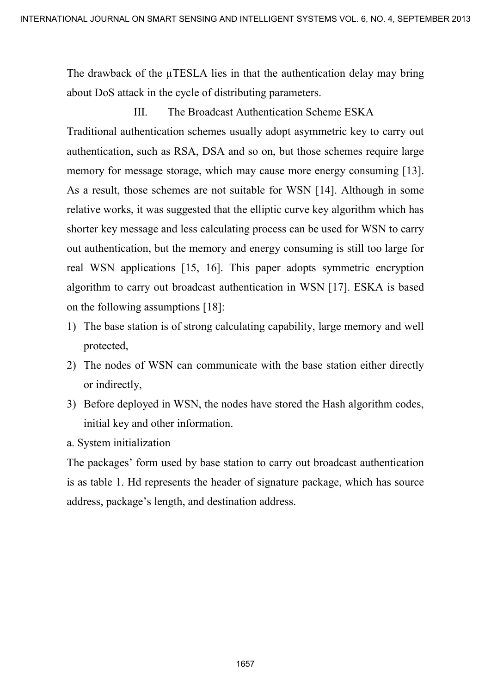The drawback of the  $\mu$ TESLA lies in that the authentication delay may bring about DoS attack in the cycle of distributing parameters.

III. The Broadcast Authentication Scheme ESKA Traditional authentication schemes usually adopt asymmetric key to carry out authentication, such as RSA, DSA and so on, but those schemes require large memory for message storage, which may cause more energy consuming [13]. As a result, those schemes are not suitable for WSN [14]. Although in some relative works, it was suggested that the elliptic curve key algorithm which has shorter key message and less calculating process can be used for WSN to carry out authentication, but the memory and energy consuming is still too large for real WSN applications [15, 16]. This paper adopts symmetric encryption algorithm to carry out broadcast authentication in WSN [17]. ESKA is based on the following assumptions [18]: INTERNATIONAL JOURNAL OR SNATH (STERNATION AND INTELLIGENT SYSTEMS VOL. 6, NO. 4, SEPTEMBER 2013<br>
III. The Education of the particular statements and the methods continue and the method and the method and the methods and s

- 1) The base station is of strong calculating capability, large memory and well protected,
- 2) The nodes of WSN can communicate with the base station either directly or indirectly,
- 3) Before deployed in WSN, the nodes have stored the Hash algorithm codes, initial key and other information.

a. System initialization

The packages' form used by base station to carry out broadcast authentication is as table 1. Hd represents the header of signature package, which has source address, package's length, and destination address.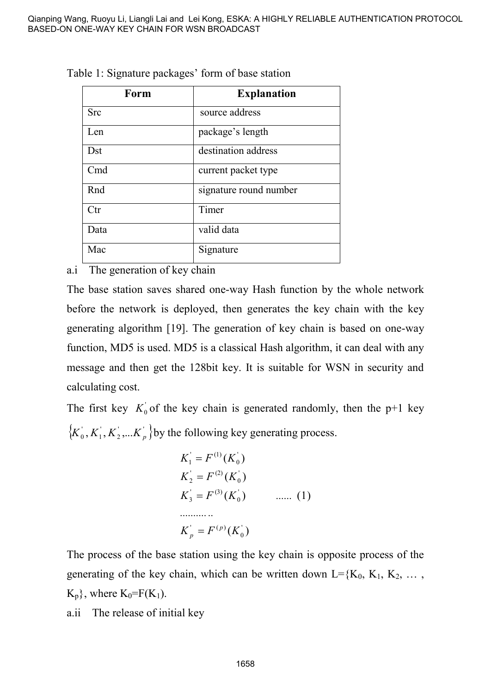| Form         | <b>Explanation</b>     |
|--------------|------------------------|
| Src          | source address         |
| Len          | package's length       |
| Dst          | destination address    |
| Cmd          | current packet type    |
| Rnd          | signature round number |
| $_{\rm Ctr}$ | Timer                  |
| Data         | valid data             |
| Mac          | Signature              |

Table 1: Signature packages' form of base station

a.i The generation of key chain

The base station saves shared one-way Hash function by the whole network before the network is deployed, then generates the key chain with the key generating algorithm [19]. The generation of key chain is based on one-way function, MD5 is used. MD5 is a classical Hash algorithm, it can deal with any message and then get the 128bit key. It is suitable for WSN in security and calculating cost.

The first key  $K_0$  of the key chain is generated randomly, then the p+1 key  $\{K_0, K_1, K_2, \dots, K_p\}$  by the following key generating process.

$$
K_1 = F^{(1)}(K_0)
$$
  
\n
$$
K_2 = F^{(2)}(K_0)
$$
  
\n
$$
K_3 = F^{(3)}(K_0)
$$
 ...... (1)  
\n........  
\n
$$
K_p = F^{(p)}(K_0)
$$

The process of the base station using the key chain is opposite process of the generating of the key chain, which can be written down  $L = {K_0, K_1, K_2, \ldots, K_N}$  $K_p$ , where  $K_0 = F(K_1)$ .

a.ii The release of initial key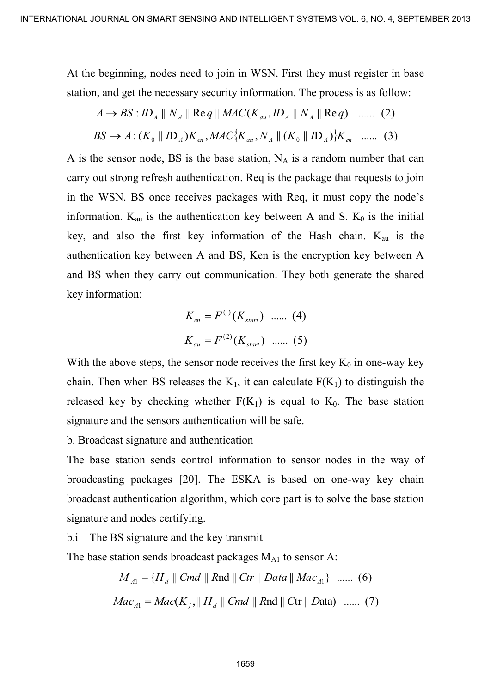At the beginning, nodes need to join in WSN. First they must register in base station, and get the necessary security information. The process is as follow:

$$
A \to BS: ID_A \parallel N_A \parallel \text{Re } q \parallel MAC(K_{au}, ID_A \parallel N_A \parallel \text{Re } q) \quad \dots \dots \quad (2)
$$
  

$$
BS \to A: (K_0 \parallel ID_A)K_{en}, MAC\{K_{au}, N_A \parallel (K_0 \parallel ID_A)\}K_{en} \quad \dots \dots \quad (3)
$$

A is the sensor node, BS is the base station,  $N_A$  is a random number that can carry out strong refresh authentication. Req is the package that requests to join in the WSN. BS once receives packages with Req, it must copy the node's information.  $K_{\text{au}}$  is the authentication key between A and S.  $K_0$  is the initial key, and also the first key information of the Hash chain.  $K_{\text{au}}$  is the authentication key between A and BS, Ken is the encryption key between A and BS when they carry out communication. They both generate the shared key information: INTERNATIONAL JOURNAL OR SIGNER CHRISTING AND INTELLIGENT SYSTEMS VOL. 8, NO 4, SEPTEMBER 2013<br>
At the hegmaning, nodes weed to join in WSN. First they must register in hase<br>
station, and get the necessary security inform

$$
K_{en} = F^{(1)}(K_{start}) \quad \dots \quad (4)
$$

$$
K_{au} = F^{(2)}(K_{start}) \quad \dots \quad (5)
$$

With the above steps, the sensor node receives the first key  $K_0$  in one-way key chain. Then when BS releases the  $K_1$ , it can calculate  $F(K_1)$  to distinguish the released key by checking whether  $F(K_1)$  is equal to  $K_0$ . The base station signature and the sensors authentication will be safe.

b. Broadcast signature and authentication

The base station sends control information to sensor nodes in the way of broadcasting packages [20]. The ESKA is based on one-way key chain broadcast authentication algorithm, which core part is to solve the base station signature and nodes certifying.

b.i The BS signature and the key transmit

The base station sends broadcast packages  $M_{A1}$  to sensor A:

$$
M_{A1} = \{H_d \parallel Cmd \parallel Rnd \parallel Ctr \parallel Data \parallel Mac_{A1}\} \quad \dots \quad (6)
$$
  

$$
Mac_{A1} = Mac(K_j, || H_d || Cmd || Rnd || Ctr || Data) \quad \dots \quad (7)
$$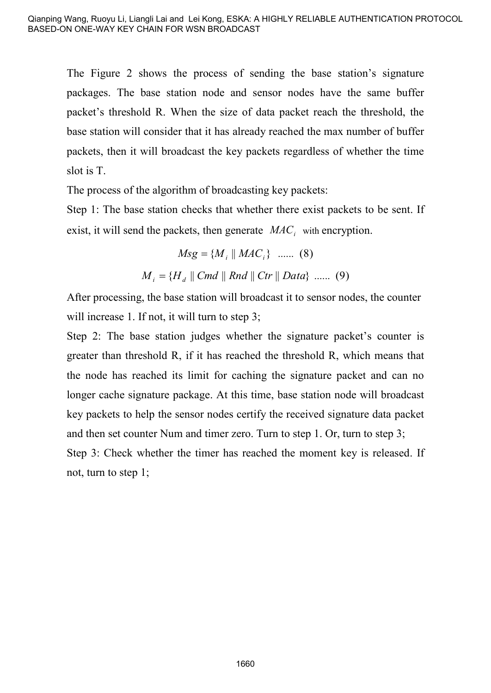The Figure 2 shows the process of sending the base station's signature packages. The base station node and sensor nodes have the same buffer packet's threshold R. When the size of data packet reach the threshold, the base station will consider that it has already reached the max number of buffer packets, then it will broadcast the key packets regardless of whether the time slot is T.

The process of the algorithm of broadcasting key packets:

Step 1: The base station checks that whether there exist packets to be sent. If exist, it will send the packets, then generate  $MAC<sub>i</sub>$  with encryption.

$$
Msg = \{M_i \parallel MAC_i\} \quad \dots \quad (8)
$$

$$
M_i = \{H_d \parallel Cmd \parallel Rnd \parallel Ctr \parallel Data\} \quad \dots \quad (9)
$$

After processing, the base station will broadcast it to sensor nodes, the counter will increase 1. If not, it will turn to step 3;

Step 2: The base station judges whether the signature packet's counter is greater than threshold R, if it has reached the threshold R, which means that the node has reached its limit for caching the signature packet and can no longer cache signature package. At this time, base station node will broadcast key packets to help the sensor nodes certify the received signature data packet and then set counter Num and timer zero. Turn to step 1. Or, turn to step 3; Step 3: Check whether the timer has reached the moment key is released. If not, turn to step 1;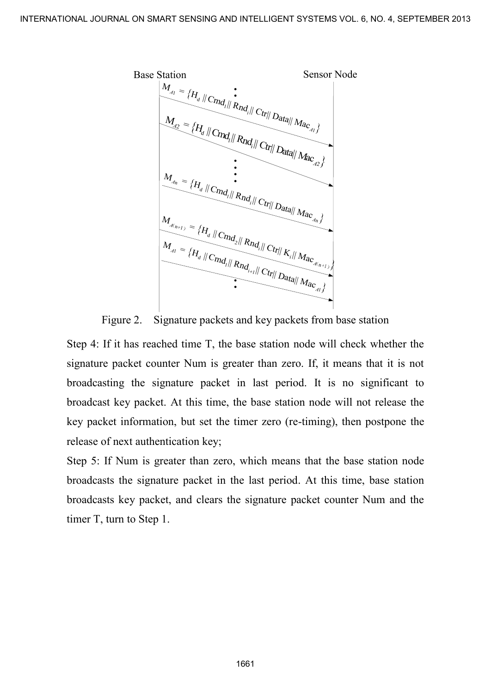

Figure 2. Signature packets and key packets from base station

Step 4: If it has reached time T, the base station node will check whether the signature packet counter Num is greater than zero. If, it means that it is not broadcasting the signature packet in last period. It is no significant to broadcast key packet. At this time, the base station node will not release the key packet information, but set the timer zero (re-timing), then postpone the release of next authentication key;

Step 5: If Num is greater than zero, which means that the base station node broadcasts the signature packet in the last period. At this time, base station broadcasts key packet, and clears the signature packet counter Num and the timer T, turn to Step 1.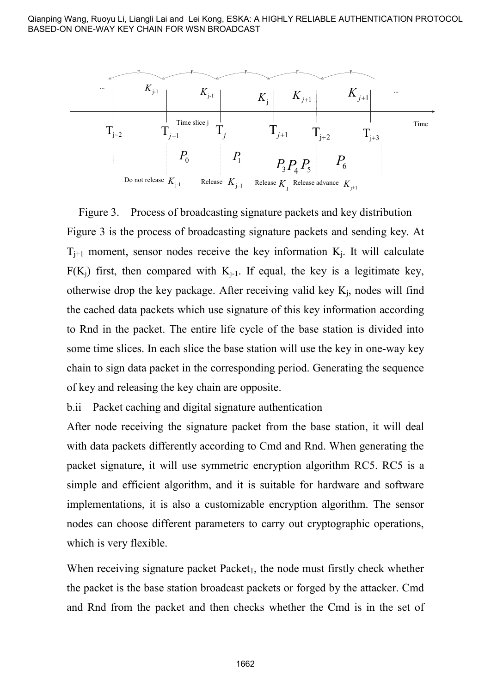Qianping Wang, Ruoyu Li, Liangli Lai and Lei Kong, ESKA: A HIGHLY RELIABLE AUTHENTICATION PROTOCOL BASED-ON ONE-WAY KEY CHAIN FOR WSN BROADCAST



Figure 3. Process of broadcasting signature packets and key distribution Figure 3 is the process of broadcasting signature packets and sending key. At  $T_{j+1}$  moment, sensor nodes receive the key information  $K_j$ . It will calculate  $F(K_i)$  first, then compared with  $K_{i-1}$ . If equal, the key is a legitimate key, otherwise drop the key package. After receiving valid key  $K_j$ , nodes will find the cached data packets which use signature of this key information according to Rnd in the packet. The entire life cycle of the base station is divided into some time slices. In each slice the base station will use the key in one-way key chain to sign data packet in the corresponding period. Generating the sequence of key and releasing the key chain are opposite.

b.ii Packet caching and digital signature authentication

After node receiving the signature packet from the base station, it will deal with data packets differently according to Cmd and Rnd. When generating the packet signature, it will use symmetric encryption algorithm RC5. RC5 is a simple and efficient algorithm, and it is suitable for hardware and software implementations, it is also a customizable encryption algorithm. The sensor nodes can choose different parameters to carry out cryptographic operations, which is very flexible.

When receiving signature packet  $Packet<sub>1</sub>$ , the node must firstly check whether the packet is the base station broadcast packets or forged by the attacker. Cmd and Rnd from the packet and then checks whether the Cmd is in the set of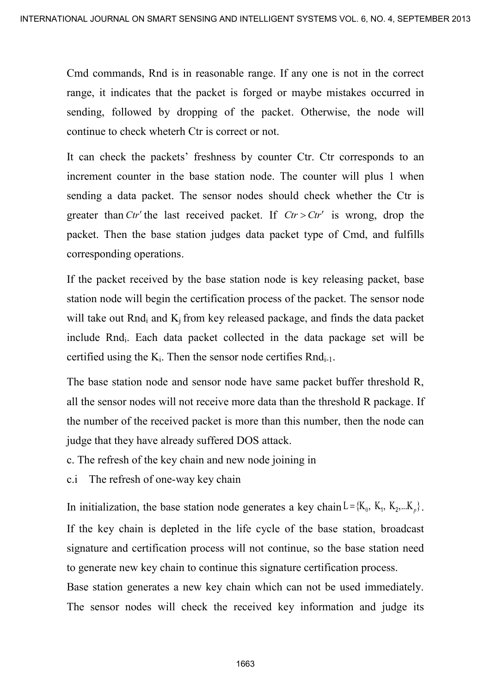Cmd commands, Rnd is in reasonable range. If any one is not in the correct range, it indicates that the packet is forged or maybe mistakes occurred in sending, followed by dropping of the packet. Otherwise, the node will continue to check wheterh Ctr is correct or not.

It can check the packets' freshness by counter Ctr. Ctr corresponds to an increment counter in the base station node. The counter will plus 1 when sending a data packet. The sensor nodes should check whether the Ctr is greater than *Ctr'* the last received packet. If  $Cr > Cr'$  is wrong, drop the packet. Then the base station judges data packet type of Cmd, and fulfills corresponding operations. INTERNATIONAL JOURNAL ON SMART CHECK THE TREAT SYSTEMS VOL. 6, NO. 4, SEPTEMBER 2013<br>
Cond commands, Rod is in reasonable range. If any one is not in the correct range. It indicates that the packet is forged or maybe mist

If the packet received by the base station node is key releasing packet, base station node will begin the certification process of the packet. The sensor node will take out Rnd<sub>i</sub> and  $K_j$  from key released package, and finds the data packet include Rnd<sup>i</sup> . Each data packet collected in the data package set will be certified using the  $K_i$ . Then the sensor node certifies  $Rnd_{i-1}$ .

The base station node and sensor node have same packet buffer threshold R, all the sensor nodes will not receive more data than the threshold R package. If the number of the received packet is more than this number, then the node can judge that they have already suffered DOS attack.

c. The refresh of the key chain and new node joining in

c.i The refresh of one-way key chain

In initialization, the base station node generates a key chain  $L = \{K_0, K_1, K_2, ... K_p\}$ . If the key chain is depleted in the life cycle of the base station, broadcast signature and certification process will not continue, so the base station need to generate new key chain to continue this signature certification process.

Base station generates a new key chain which can not be used immediately. The sensor nodes will check the received key information and judge its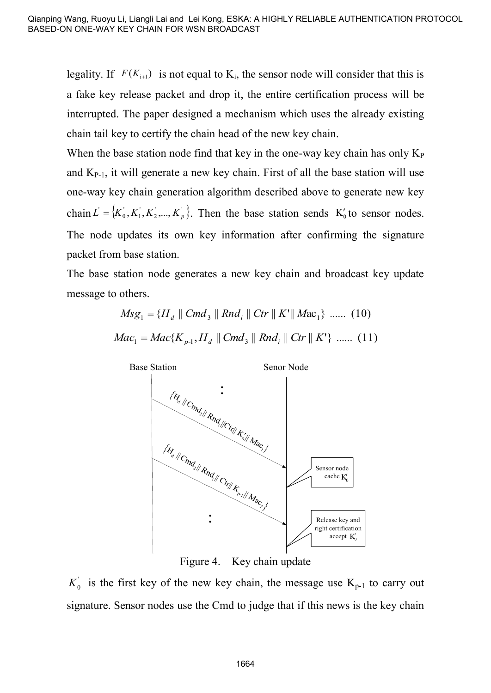legality. If  $F(K_{i+1})$  is not equal to  $K_i$ , the sensor node will consider that this is a fake key release packet and drop it, the entire certification process will be interrupted. The paper designed a mechanism which uses the already existing chain tail key to certify the chain head of the new key chain.

When the base station node find that key in the one-way key chain has only  $K_P$ and  $K_{P-1}$ , it will generate a new key chain. First of all the base station will use one-way key chain generation algorithm described above to generate new key chain  $L = \{K_0, K_1, K_2, \dots, K_p\}$ . Then the base station sends  $K_0$  to sensor nodes. The node updates its own key information after confirming the signature packet from base station.

The base station node generates a new key chain and broadcast key update message to others.

$$
Msg_1 = \{H_d \parallel Cmd_3 \parallel Rnd_i \parallel Ctr \parallel K'\parallel Mac_1\} \dots \dots (10)
$$
  

$$
Mac_1 = Mac\{K_{p-1}, H_d \parallel Cmd_3 \parallel Rnd_i \parallel Ctr \parallel K'\} \dots \dots (11)
$$



Figure 4. Key chain update

 $K_0^{\prime}$  is the first key of the new key chain, the message use  $K_{p-1}$  to carry out signature. Sensor nodes use the Cmd to judge that if this news is the key chain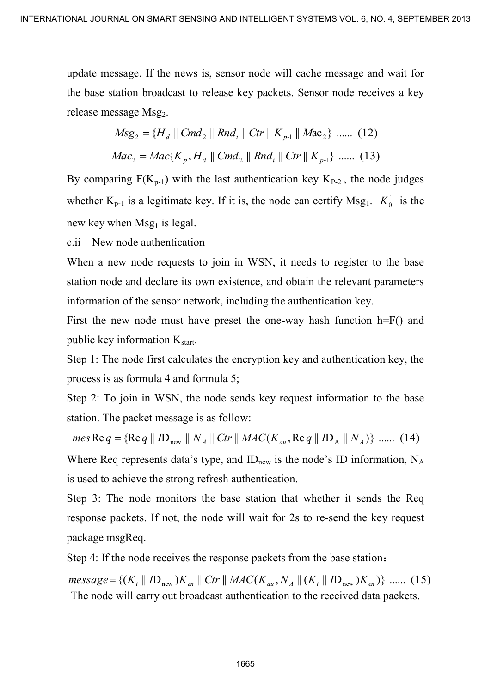update message. If the news is, sensor node will cache message and wait for the base station broadcast to release key packets. Sensor node receives a key release message Msg<sub>2</sub>.

$$
Msg_2 = \{H_d \parallel Cmd_2 \parallel Rnd_i \parallel Ctr \parallel K_{p-1} \parallel Mac_2\} \dots \quad (12)
$$
  

$$
Mac_2 = Mac\{K_p, H_d \parallel Cmd_2 \parallel Rnd_i \parallel Ctr \parallel K_{p-1}\} \dots \quad (13)
$$

By comparing  $F(K_{p-1})$  with the last authentication key  $K_{P-2}$ , the node judges whether  $K_{p-1}$  is a legitimate key. If it is, the node can certify  $Msg<sub>1</sub>$ .  $K_0$  is the new key when  $Msg<sub>1</sub>$  is legal. INTERNATIONAL JOURNAL ORIGINAL SURVENTION SYSTEMS VOL. 6, NO. 4, SEPTEMBER 2013<br>
update message. If the news is, sensor node will each message and want for<br>
the base station broadcast to release we preletts. Sensor node c

c.ii New node authentication

When a new node requests to join in WSN, it needs to register to the base station node and declare its own existence, and obtain the relevant parameters information of the sensor network, including the authentication key.

First the new node must have preset the one-way hash function h=F() and public key information  $K_{start}$ .

Step 1: The node first calculates the encryption key and authentication key, the process is as formula 4 and formula 5;

Step 2: To join in WSN, the node sends key request information to the base station. The packet message is as follow:

 $mes \text{Re } q = \{ \text{Re } q \parallel ID_{new} \parallel N_A \parallel Ctr \parallel MAC(K_{au}, \text{Re } q \parallel ID_A \parallel N_A) \} \dots$  (14)

Where Req represents data's type, and  $ID<sub>new</sub>$  is the node's ID information,  $N_A$ is used to achieve the strong refresh authentication.

Step 3: The node monitors the base station that whether it sends the Req response packets. If not, the node will wait for 2s to re-send the key request package msgReq.

Step 4: If the node receives the response packets from the base station:

 ${message = \{(K_i \parallel ID_{new})K_{en} \parallel Ctr \parallel MAC(K_{au}, N_A \parallel (K_i \parallel ID_{new})K_{en})\}}$  ....... (15) The node will carry out broadcast authentication to the received data packets.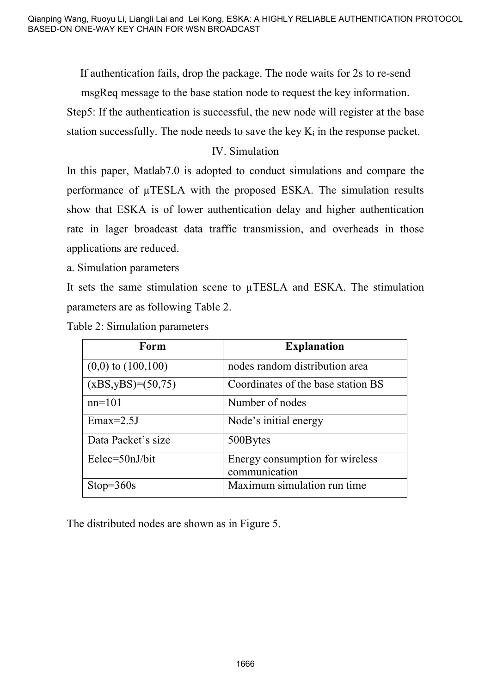If authentication fails, drop the package. The node waits for 2s to re-send msgReq message to the base station node to request the key information.

Step5: If the authentication is successful, the new node will register at the base station successfully. The node needs to save the key  $K_i$  in the response packet.

# IV. Simulation

In this paper, Matlab7.0 is adopted to conduct simulations and compare the performance of µTESLA with the proposed ESKA. The simulation results show that ESKA is of lower authentication delay and higher authentication rate in lager broadcast data traffic transmission, and overheads in those applications are reduced.

a. Simulation parameters

It sets the same stimulation scene to  $\mu$ TESLA and ESKA. The stimulation parameters are as following Table 2.

|  |  |  | Table 2: Simulation parameters |
|--|--|--|--------------------------------|
|--|--|--|--------------------------------|

| Form                    | <b>Explanation</b>                 |
|-------------------------|------------------------------------|
| $(0,0)$ to $(100,100)$  | nodes random distribution area     |
| $(xBS, yBS) = (50, 75)$ | Coordinates of the base station BS |
| $nn=101$                | Number of nodes                    |
| $Emax=2.5J$             | Node's initial energy              |
| Data Packet's size      | 500Bytes                           |
| Eelec=50nJ/bit          | Energy consumption for wireless    |
|                         | communication                      |
| $Stop=360s$             | Maximum simulation run time        |

The distributed nodes are shown as in Figure 5.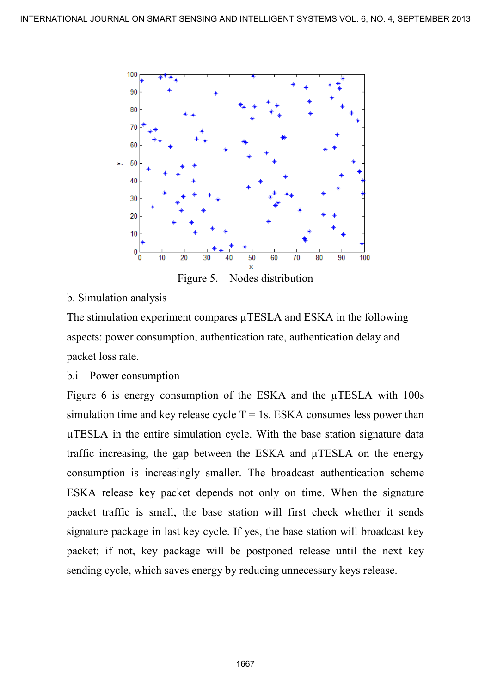

#### b. Simulation analysis

The stimulation experiment compares  $\mu$ TESLA and ESKA in the following aspects: power consumption, authentication rate, authentication delay and packet loss rate.

#### b.i Power consumption

Figure 6 is energy consumption of the ESKA and the  $\mu$ TESLA with 100s simulation time and key release cycle  $T = 1s$ . ESKA consumes less power than µTESLA in the entire simulation cycle. With the base station signature data traffic increasing, the gap between the ESKA and µTESLA on the energy consumption is increasingly smaller. The broadcast authentication scheme ESKA release key packet depends not only on time. When the signature packet traffic is small, the base station will first check whether it sends signature package in last key cycle. If yes, the base station will broadcast key packet; if not, key package will be postponed release until the next key sending cycle, which saves energy by reducing unnecessary keys release. INTERNATIONAL JOURNAL ON SMART SENSING AND NUEL ILLEND SYSTEMS VOL. 6, NO. 4, SEPTEMBER 2013<br>  $\frac{1}{10}$ <br>  $\frac{1}{10}$ <br>  $\frac{1}{10}$ <br>  $\frac{1}{10}$ <br>  $\frac{1}{10}$ <br>  $\frac{1}{10}$ <br>  $\frac{1}{10}$ <br>  $\frac{1}{10}$ <br>  $\frac{1}{10}$ <br>  $\frac{1}{10}$ <br>  $\frac{1}{1$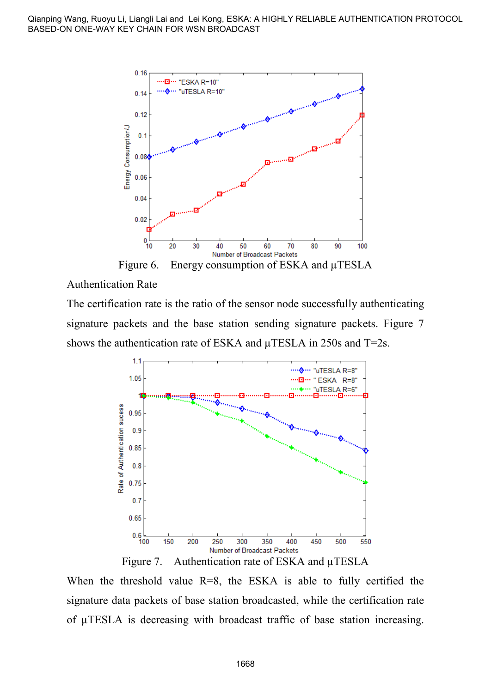

Authentication Rate

The certification rate is the ratio of the sensor node successfully authenticating signature packets and the base station sending signature packets. Figure 7 shows the authentication rate of ESKA and  $\mu$ TESLA in 250s and T=2s.



Figure 7. Authentication rate of ESKA and µTESLA

When the threshold value  $R=8$ , the ESKA is able to fully certified the signature data packets of base station broadcasted, while the certification rate of µTESLA is decreasing with broadcast traffic of base station increasing.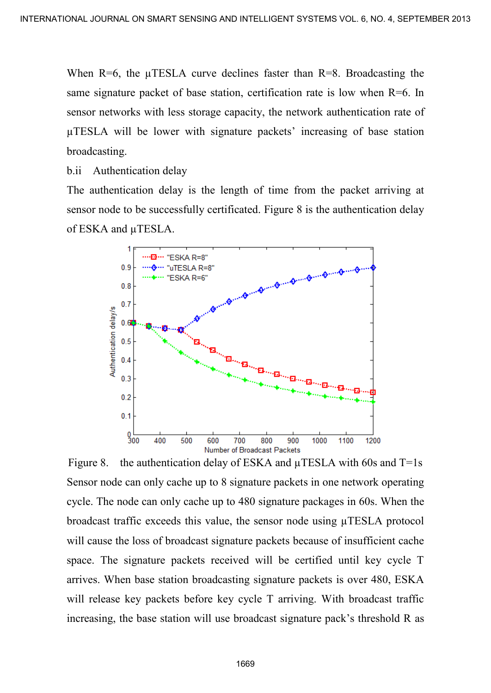When  $R=6$ , the  $\mu$ TESLA curve declines faster than  $R=8$ . Broadcasting the same signature packet of base station, certification rate is low when R=6. In sensor networks with less storage capacity, the network authentication rate of µTESLA will be lower with signature packets' increasing of base station broadcasting.

b.ii Authentication delay

The authentication delay is the length of time from the packet arriving at sensor node to be successfully certificated. Figure 8 is the authentication delay of ESKA and µTESLA.



Figure 8. the authentication delay of ESKA and  $\mu$ TESLA with 60s and T=1s Sensor node can only cache up to 8 signature packets in one network operating cycle. The node can only cache up to 480 signature packages in 60s. When the broadcast traffic exceeds this value, the sensor node using µTESLA protocol will cause the loss of broadcast signature packets because of insufficient cache space. The signature packets received will be certified until key cycle T arrives. When base station broadcasting signature packets is over 480, ESKA will release key packets before key cycle T arriving. With broadcast traffic increasing, the base station will use broadcast signature pack's threshold R as INTERNATIONAL JOURNAL ON SIGNATION AND INTELLIGENT SYSTEMS VOL. 6, NO. 4, SEPTEMBER 2013<br>
When R=6, the pl'IPSI A curve declines failed the storage consideration and is low when R=6. In<br>
simulate storage consideration del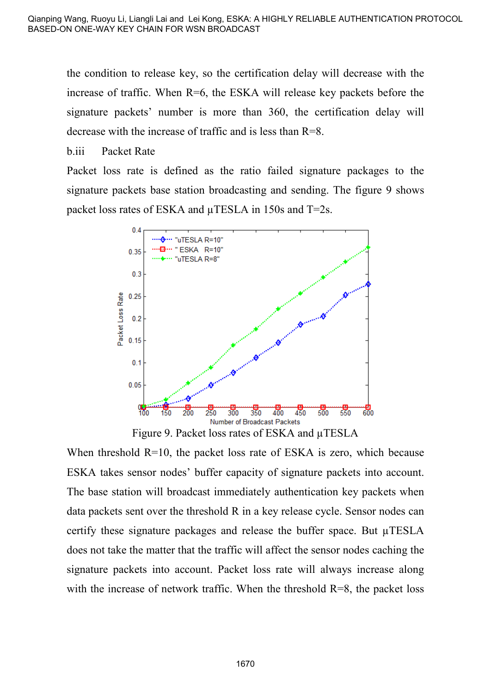the condition to release key, so the certification delay will decrease with the increase of traffic. When R=6, the ESKA will release key packets before the signature packets' number is more than 360, the certification delay will decrease with the increase of traffic and is less than R=8.

b.iii Packet Rate

Packet loss rate is defined as the ratio failed signature packages to the signature packets base station broadcasting and sending. The figure 9 shows packet loss rates of ESKA and µTESLA in 150s and T=2s.



Figure 9. Packet loss rates of ESKA and  $\mu$ TESLA

When threshold  $R=10$ , the packet loss rate of ESKA is zero, which because ESKA takes sensor nodes' buffer capacity of signature packets into account. The base station will broadcast immediately authentication key packets when data packets sent over the threshold R in a key release cycle. Sensor nodes can certify these signature packages and release the buffer space. But µTESLA does not take the matter that the traffic will affect the sensor nodes caching the signature packets into account. Packet loss rate will always increase along with the increase of network traffic. When the threshold  $R=8$ , the packet loss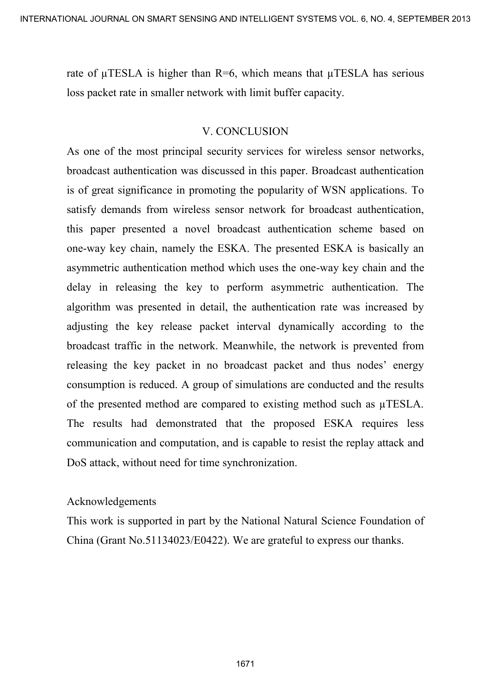rate of  $\mu$ TESLA is higher than R=6, which means that  $\mu$ TESLA has serious loss packet rate in smaller network with limit buffer capacity.

### V. CONCLUSION

As one of the most principal security services for wireless sensor networks, broadcast authentication was discussed in this paper. Broadcast authentication is of great significance in promoting the popularity of WSN applications. To satisfy demands from wireless sensor network for broadcast authentication, this paper presented a novel broadcast authentication scheme based on one-way key chain, namely the ESKA. The presented ESKA is basically an asymmetric authentication method which uses the one-way key chain and the delay in releasing the key to perform asymmetric authentication. The algorithm was presented in detail, the authentication rate was increased by adjusting the key release packet interval dynamically according to the broadcast traffic in the network. Meanwhile, the network is prevented from releasing the key packet in no broadcast packet and thus nodes' energy consumption is reduced. A group of simulations are conducted and the results of the presented method are compared to existing method such as µTESLA. The results had demonstrated that the proposed ESKA requires less communication and computation, and is capable to resist the replay attack and DoS attack, without need for time synchronization. INTERNATIONAL JOURNAL ORIGINAL SURFACE AND INTELLIGENT SYSTEMS VOL. 6, NO 4, SEPTEMBER 2013<br>
Trace of p ITEST A is higher than R=6, which means that p ITEST A has serious<br>
loss packet rate in smaller network with limit buf

#### Acknowledgements

This work is supported in part by the National Natural Science Foundation of China (Grant No.51134023/E0422). We are grateful to express our thanks.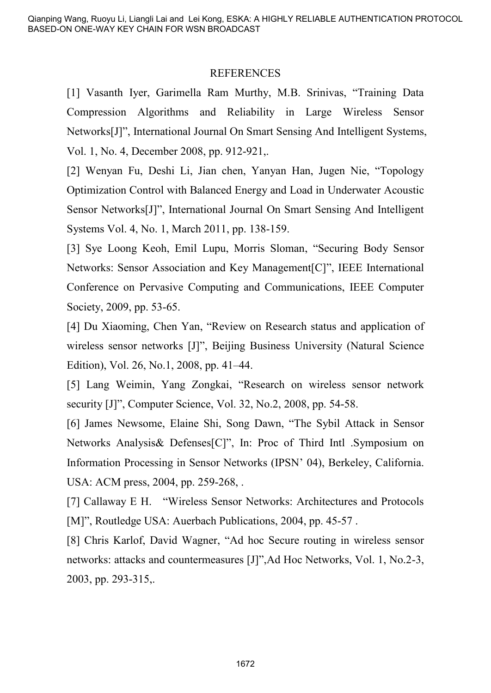#### REFERENCES

[1] Vasanth Iyer, Garimella Ram Murthy, M.B. Srinivas, "Training Data Compression Algorithms and Reliability in Large Wireless Sensor Networks[J]", International Journal On Smart Sensing And Intelligent Systems, Vol. 1, No. 4, December 2008, pp. 912-921,.

[2] Wenyan Fu, Deshi Li, Jian chen, Yanyan Han, Jugen Nie, "Topology Optimization Control with Balanced Energy and Load in Underwater Acoustic Sensor Networks[J]", International Journal On Smart Sensing And Intelligent Systems Vol. 4, No. 1, March 2011, pp. 138-159.

[3] Sye Loong Keoh, Emil Lupu, Morris Sloman, "Securing Body Sensor Networks: Sensor Association and Key Management[C]", IEEE International Conference on Pervasive Computing and Communications, IEEE Computer Society, 2009, pp. 53-65.

[4] Du Xiaoming, Chen Yan, "Review on Research status and application of wireless sensor networks [J]", Beijing Business University (Natural Science Edition), Vol. 26, No.1, 2008, pp. 41–44.

[5] Lang Weimin, Yang Zongkai, "Research on wireless sensor network security [J]", Computer Science, Vol. 32, No.2, 2008, pp. 54-58.

[6] James Newsome, Elaine Shi, Song Dawn, "The Sybil Attack in Sensor Networks Analysis& Defenses[C]", In: Proc of Third Intl .Symposium on Information Processing in Sensor Networks (IPSN' 04), Berkeley, California. USA: ACM press, 2004, pp. 259-268, .

[7] Callaway E H. "Wireless Sensor Networks: Architectures and Protocols [M]", Routledge USA: Auerbach Publications, 2004, pp. 45-57.

[8] Chris Karlof, David Wagner, "Ad hoc Secure routing in wireless sensor networks: attacks and countermeasures [J]",Ad Hoc Networks, Vol. 1, No.2-3, 2003, pp. 293-315,.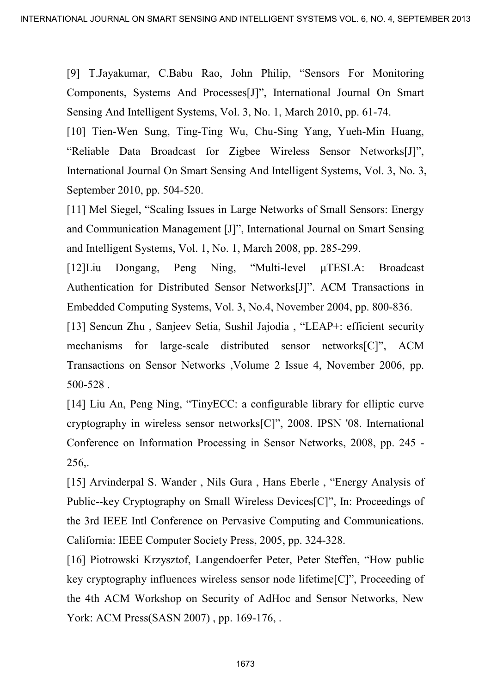[9] T.Jayakumar, C.Babu Rao, John Philip, "Sensors For Monitoring Components, Systems And Processes[J]", International Journal On Smart Sensing And Intelligent Systems, Vol. 3, No. 1, March 2010, pp. 61-74.

[10] Tien-Wen Sung, Ting-Ting Wu, Chu-Sing Yang, Yueh-Min Huang, "Reliable Data Broadcast for Zigbee Wireless Sensor Networks[J]", International Journal On Smart Sensing And Intelligent Systems, Vol. 3, No. 3, September 2010, pp. 504-520.

[11] Mel Siegel, "Scaling Issues in Large Networks of Small Sensors: Energy and Communication Management [J]", International Journal on Smart Sensing and Intelligent Systems, Vol. 1, No. 1, March 2008, pp. 285-299.

[12]Liu Dongang, Peng Ning, "Multi-level μTESLA: Broadcast Authentication for Distributed Sensor Networks[J]". ACM Transactions in Embedded Computing Systems, Vol. 3, No.4, November 2004, pp. 800-836.

[13] Sencun Zhu , Sanjeev Setia, Sushil Jajodia , "LEAP+: efficient security mechanisms for large-scale distributed sensor networks[C]", ACM Transactions on Sensor Networks ,Volume 2 Issue 4, November 2006, pp. 500-528 .

[14] Liu An, Peng Ning, "TinyECC: a configurable library for elliptic curve cryptography in wireless sensor networks[C]", 2008. IPSN '08. International Conference on Information Processing in Sensor Networks, 2008, pp. 245 - 256,. INTERNATIONAL JOURNAL ON SMART CHEMBER AND INTELLIGENT SYSTEMS VOL. 6, NOT SINCT COMPOSITION COMPOSITION CONTINUES CONTINUES CONTINUES (PORTION) THE STATISTIC CONTINUES (PRESS) THE CONTINUES (PRESS) THE CONTINUES (THE STAT

[15] Arvinderpal S. Wander , Nils Gura , Hans Eberle , "Energy Analysis of Public--key Cryptography on Small Wireless Devices[C]", In: Proceedings of the 3rd IEEE Intl Conference on Pervasive Computing and Communications. California: IEEE Computer Society Press, 2005, pp. 324-328.

[16] Piotrowski Krzysztof, Langendoerfer Peter, Peter Steffen, "How public key cryptography influences wireless sensor node lifetime[C]", Proceeding of the 4th ACM Workshop on Security of AdHoc and Sensor Networks, New York: ACM Press(SASN 2007), pp. 169-176,.